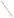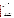# **Consumer Factsheet on: CADMIUM**

[List of Contaminants](http://www.epa.gov/safewater/hfacts.html) 

 As part of the Drinking Water and Health pages, this fact sheet is part of a larger publication: **National Primary Drinking Water Regulations** 

 States Environmental Protection Agency (EPA). This is a factsheet about a chemical that may be found in some public or private drinking water supplies. It may cause health problems if found in amounts greater than the health standard set by the United

# **What is Cadmium and how is it used?**

 Cadmium is a metal found in natural deposits as ores containing other elements. The greatest use of cadmium is primarily for metal plating and coating operations, including transportation equipment, machinery and baking enamels, photography, television phosphors. It is also used in nickel-cadmium and solar batteries and in pigments.

# **Why is Cadmium being regulated?**

 based solely on possible health risks and exposure, are called Maximum Contaminant Level Goals. In 1974, Congress passed the Safe Drinking Water Act. This law requires EPA to determine safe levels of chemicals in drinking water which do or may cause health problems. These non-enforceable levels,

 protection would not cause any of the potential health problems described below. The MCLG for cadmium has been set at 5 parts per billion (ppb) because EPA believes this level of

 Based on this MCLG, EPA has set an enforceable standard called a Maximum Contaminant Level (MCL). MCLs are set as close to the MCLGs as possible, considering the ability of public water systems to detect and remove contaminants using suitable treatment technologies.

 occurs in drinking water. The MCL has also been set at 5 ppb because EPA believes, given present technology and resources, this is the lowest level to which water systems can reasonably be required to remove this contaminant if it

These drinking water standards and the regulations for ensuring these standards are met, are called National Primary Drinking Water Regulations. All public water supplies must abide by these regulations.

# **What are the health effects?**

Short-term: EPA has found cadmium to potentially cause the following health effects when people are exposed to it at levels above the MCL for relatively short periods of time: nausea, vomiting, diarrhea, muscle cramps, salivation, sensory disturbances, liver injury, convulsions, shock and renal failure.

 Long-term: Cadmium has the potential to cause the following effects from a lifetime exposure at levels above the MCL: kidney, liver, bone and blood damage.

# **How much Cadmium is produced and released to the environment?**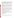2.9 million lbs. of cadmium were produced in the US in 1986, and nearly twice that amount was imported in the same year. Cadmium occurs naturally in zinc, lead, copper and other ores which can serve as releases of cadmium are due to waste streams and leaching of landfills, and from a variety of operations sources to ground and surface waters, especially when in contact with soft, acidic waters. Major industrial that involve cadmium or zinc. In particular, cadmium can be released to drinking water from the corrosion of some galvanized plumbing and water main pipe materials.

 From 1987 to 1993, according to EPAs Toxic Chemical Release Inventory, cadmium releases were primarily from zinc, lead and copper smelting and refining industries, with the largest releases occurring in Arizona and Utah.

### **What happens to Cadmium when it is released to the environment?**

 some species, low in others. Some cadmium compounds are able to leach through soils to ground water. When cadmium compounds do bind to the sediments of rivers, they can be more easily bioaccumulated or re-dissolved when sediments are disturbed, such as during flooding. Its tendency to accumulate in aquatic life is great in

#### **How will Cadmium be detected in and removed from my drinking water?**

 The regulation for cadmium became effective in 1992. Between 1993 and 1995, EPA required your water it is present above this level, the system must continue to monitor this contaminant every 3 months. supplier to collect water samples once and analyze them to find out if cadmium is present above 5 ppb. If

If contaminant levels are found to be consistently above the MCL, your water supplier must take steps to reduce the amount of cadmium so that it is consistently below that level. The following treatment methods have been approved by EPA for removing cadmium: Coagulation/Filtration, Ion Exchange, Lime Softening, Reverse Osmosis.

# **How will I know if Cadmium is in my drinking water?**

If the levels of cadmium exceed the MCL, the system must notify the public via newspapers, radio, TV and other means. Additional actions, such as providing alternative drinking water supplies, may be required to prevent serious risks to public health.

 States Environmental Protection Agency (EPA). This is a factsheet about a chemical that may be found in some public or private drinking water supplies. It may cause health problems if found in amounts greater than the health standard set by the United

# **Drinking Water Standards:**

MCLG: 5 ppb

MCL: 5 ppb

# **Cadmium Releases to Water and Land, 1987 to 1993 (in pounds):**

| - - |  |
|-----|--|
|-----|--|